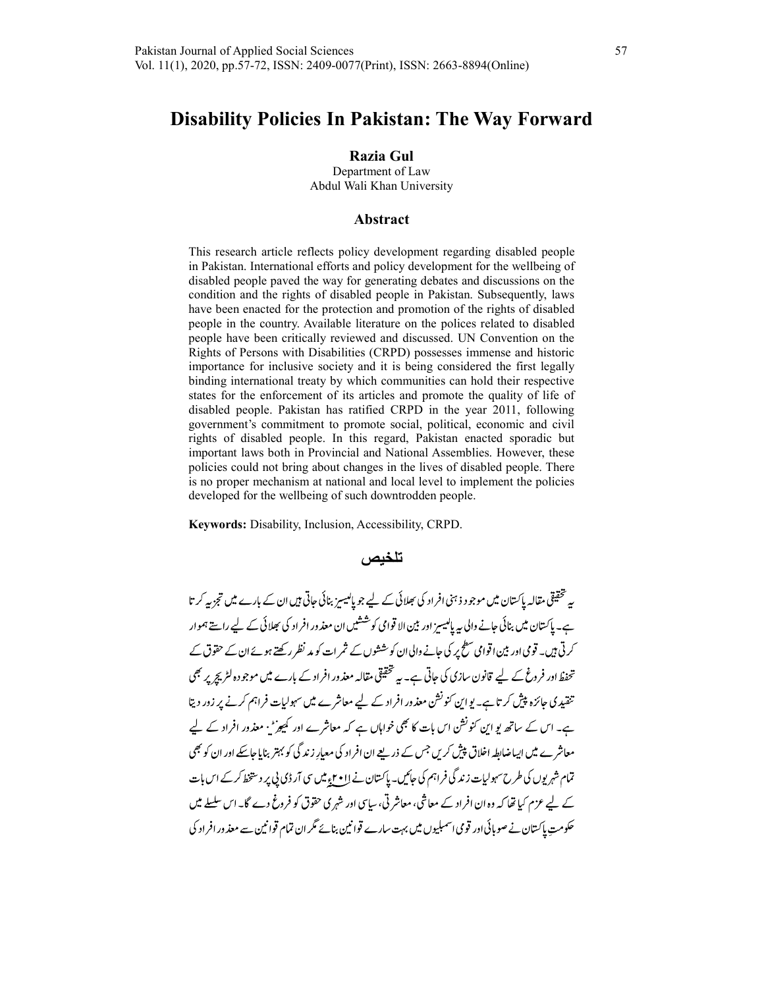# Disability Policies In Pakistan: The Way Forward

Razia Gul

Department of Law Abdul Wali Khan University

#### Abstract

This research article reflects policy development regarding disabled people in Pakistan. International efforts and policy development for the wellbeing of disabled people paved the way for generating debates and discussions on the condition and the rights of disabled people in Pakistan. Subsequently, laws have been enacted for the protection and promotion of the rights of disabled people in the country. Available literature on the polices related to disabled people have been critically reviewed and discussed. UN Convention on the Rights of Persons with Disabilities (CRPD) possesses immense and historic importance for inclusive society and it is being considered the first legally binding international treaty by which communities can hold their respective states for the enforcement of its articles and promote the quality of life of disabled people. Pakistan has ratified CRPD in the year 2011, following government's commitment to promote social, political, economic and civil rights of disabled people. In this regard, Pakistan enacted sporadic but important laws both in Provincial and National Assemblies. However, these policies could not bring about changes in the lives of disabled people. There is no proper mechanism at national and local level to implement the policies developed for the wellbeing of such downtrodden people.

Keywords: Disability, Inclusion, Accessibility, CRPD.

#### تلخيص

یہ تحقیقی مقالہ پاکستان میں موجو د ذہنی افراد کی بھلائی کے لیے جو پالیسز بنائی حاتی ہیں ان کے بارے میں تجزیہ کر تا ہے۔ پاکستان میں بنائی جانے والی یہ پالیسیز اور بین الا قوامی کوششیں ان معذ ور افراد کی بھلائی کے لیے راستے ہموار کرتی ہیں۔ قومی اور بین اقوامی سطح پر کی جانے والی ان کو ششوں کے ثمر ات کو مد نظر رکھتے ہوئے ان کے حقوق کے تحفظ اور فروغ کے لیے قانون سازی کی جاتی ہے۔ یہ تحقیقی مقالہ معذور افراد کے بارے میں موجودہ لٹریج پر بھی تنقیدی جائزہ پیش کر تا ہے۔ یو این کنونشن معذور افراد کے لیے معاشرے میں سہولیات فراہم کرنے پر زور دیتا ہے۔ اس کے ساتھ یو این کنونشن اس بات کا بھی خواہاں ہے کہ معاشرے اور کمیوڑ ، معذور افراد کے لیے معاشر ے میں ایساضاطہ اخلاق پیش کریں جس کے ذریعے ان افراد کی معیار زند گی کو بہتر بنایا جاسکے اور ان کو بھی تمام شہر یوں کی طرح سہولیات زند گی فراہم کی جائیں۔ پاکستان نے لاا • ۲ء میں سی آر ڈی پی پر دستخط کر کے اس بات کے لیے عزم کیا تھا کہ وہ ان افراد کے معاشی، معاشر تی، سایپی اور شہری حقوق کو فروغ دے گا۔ اس سلسلے میں ۔<br>حکومت پاکستان نے صوبائی اور قومی اسمبلیوں میں بہت سارے قوانین بنائے مگر ان تمام قوانین سے معذور افراد کی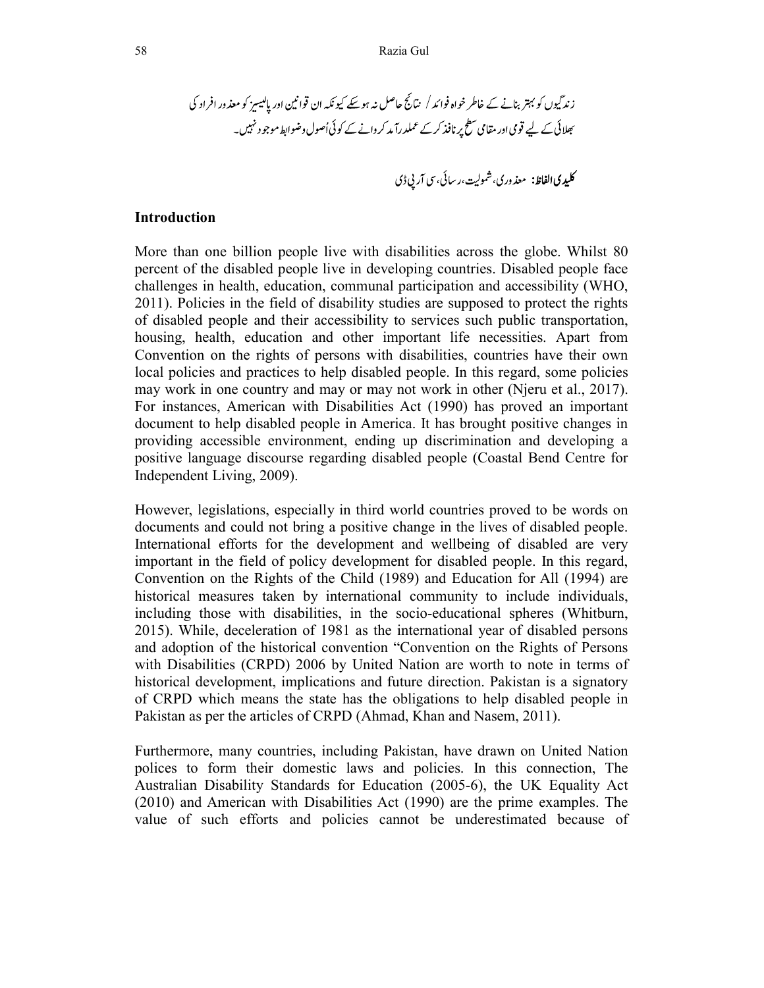#### Introduction

More than one billion people live with disabilities across the globe. Whilst 80 percent of the disabled people live in developing countries. Disabled people face challenges in health, education, communal participation and accessibility (WHO, 2011). Policies in the field of disability studies are supposed to protect the rights of disabled people and their accessibility to services such public transportation, housing, health, education and other important life necessities. Apart from Convention on the rights of persons with disabilities, countries have their own local policies and practices to help disabled people. In this regard, some policies may work in one country and may or may not work in other (Njeru et al., 2017). For instances, American with Disabilities Act (1990) has proved an important document to help disabled people in America. It has brought positive changes in providing accessible environment, ending up discrimination and developing a positive language discourse regarding disabled people (Coastal Bend Centre for Independent Living, 2009).

However, legislations, especially in third world countries proved to be words on documents and could not bring a positive change in the lives of disabled people. International efforts for the development and wellbeing of disabled are very important in the field of policy development for disabled people. In this regard, Convention on the Rights of the Child (1989) and Education for All (1994) are historical measures taken by international community to include individuals, including those with disabilities, in the socio-educational spheres (Whitburn, 2015). While, deceleration of 1981 as the international year of disabled persons and adoption of the historical convention "Convention on the Rights of Persons with Disabilities (CRPD) 2006 by United Nation are worth to note in terms of historical development, implications and future direction. Pakistan is a signatory of CRPD which means the state has the obligations to help disabled people in Pakistan as per the articles of CRPD (Ahmad, Khan and Nasem, 2011).

Furthermore, many countries, including Pakistan, have drawn on United Nation polices to form their domestic laws and policies. In this connection, The Australian Disability Standards for Education (2005-6), the UK Equality Act (2010) and American with Disabilities Act (1990) are the prime examples. The value of such efforts and policies cannot be underestimated because of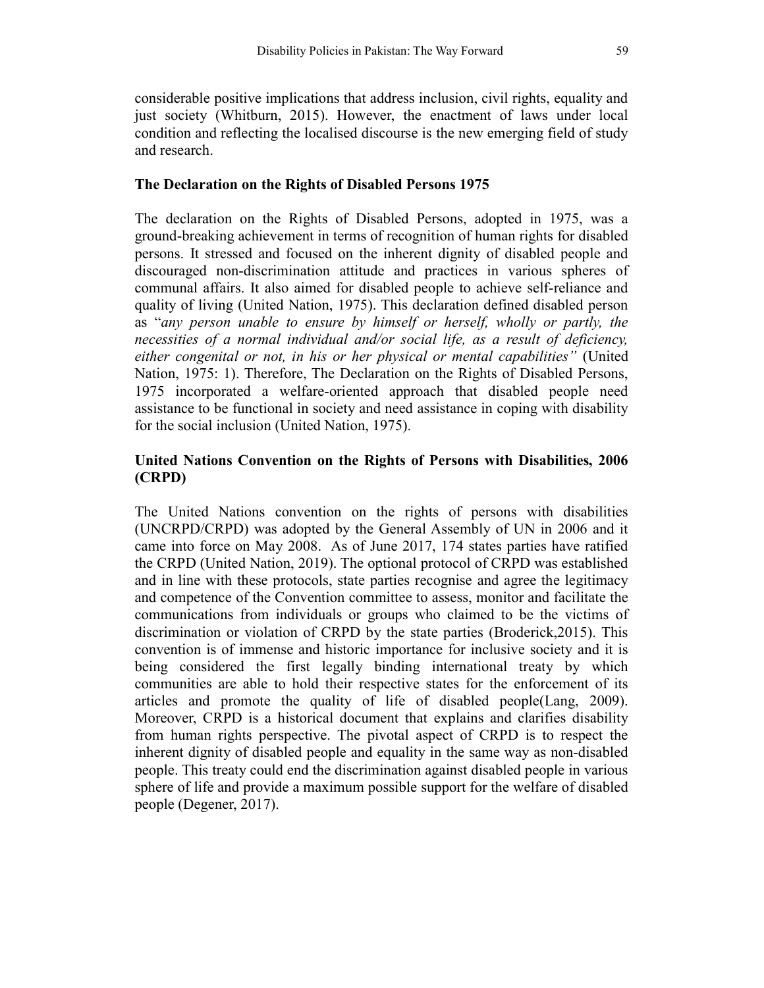considerable positive implications that address inclusion, civil rights, equality and just society (Whitburn, 2015). However, the enactment of laws under local condition and reflecting the localised discourse is the new emerging field of study and research.

### The Declaration on the Rights of Disabled Persons 1975

The declaration on the Rights of Disabled Persons, adopted in 1975, was a ground-breaking achievement in terms of recognition of human rights for disabled persons. It stressed and focused on the inherent dignity of disabled people and discouraged non-discrimination attitude and practices in various spheres of communal affairs. It also aimed for disabled people to achieve self-reliance and quality of living (United Nation, 1975). This declaration defined disabled person as "any person unable to ensure by himself or herself, wholly or partly, the necessities of a normal individual and/or social life, as a result of deficiency, either congenital or not, in his or her physical or mental capabilities" (United Nation, 1975: 1). Therefore, The Declaration on the Rights of Disabled Persons, 1975 incorporated a welfare-oriented approach that disabled people need assistance to be functional in society and need assistance in coping with disability for the social inclusion (United Nation, 1975).

# United Nations Convention on the Rights of Persons with Disabilities, 2006 (CRPD)

The United Nations convention on the rights of persons with disabilities (UNCRPD/CRPD) was adopted by the General Assembly of UN in 2006 and it came into force on May 2008. As of June 2017, 174 states parties have ratified the CRPD (United Nation, 2019). The optional protocol of CRPD was established and in line with these protocols, state parties recognise and agree the legitimacy and competence of the Convention committee to assess, monitor and facilitate the communications from individuals or groups who claimed to be the victims of discrimination or violation of CRPD by the state parties (Broderick,2015). This convention is of immense and historic importance for inclusive society and it is being considered the first legally binding international treaty by which communities are able to hold their respective states for the enforcement of its articles and promote the quality of life of disabled people(Lang, 2009). Moreover, CRPD is a historical document that explains and clarifies disability from human rights perspective. The pivotal aspect of CRPD is to respect the inherent dignity of disabled people and equality in the same way as non-disabled people. This treaty could end the discrimination against disabled people in various sphere of life and provide a maximum possible support for the welfare of disabled people (Degener, 2017).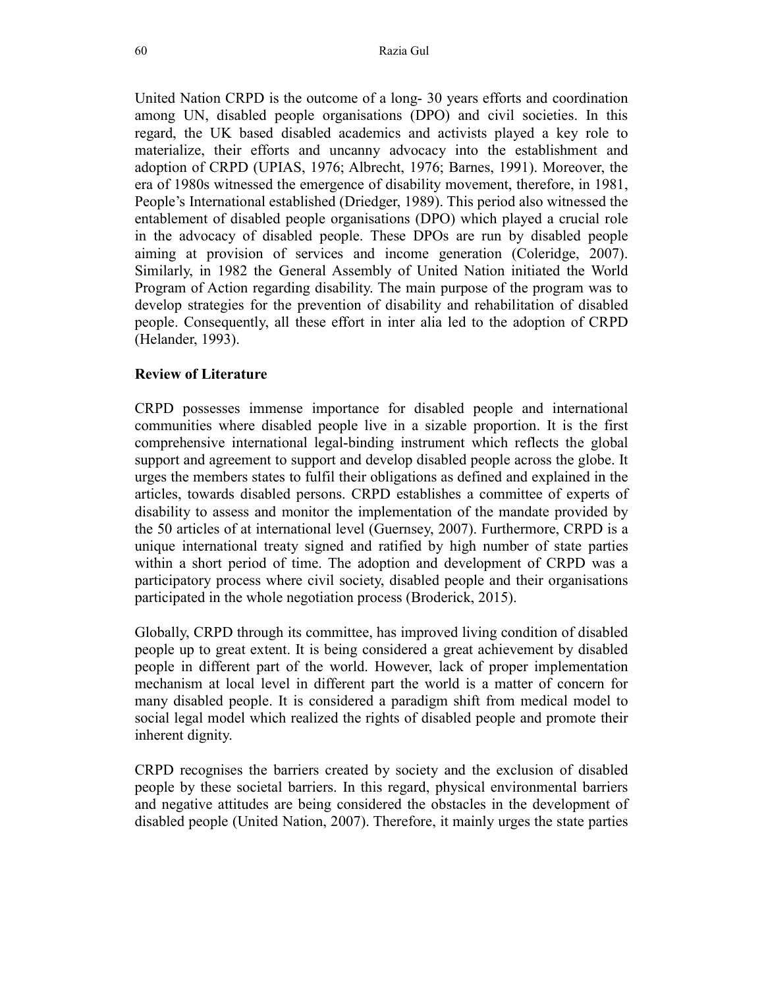United Nation CRPD is the outcome of a long- 30 years efforts and coordination among UN, disabled people organisations (DPO) and civil societies. In this regard, the UK based disabled academics and activists played a key role to materialize, their efforts and uncanny advocacy into the establishment and adoption of CRPD (UPIAS, 1976; Albrecht, 1976; Barnes, 1991). Moreover, the era of 1980s witnessed the emergence of disability movement, therefore, in 1981, People's International established (Driedger, 1989). This period also witnessed the entablement of disabled people organisations (DPO) which played a crucial role in the advocacy of disabled people. These DPOs are run by disabled people aiming at provision of services and income generation (Coleridge, 2007). Similarly, in 1982 the General Assembly of United Nation initiated the World Program of Action regarding disability. The main purpose of the program was to develop strategies for the prevention of disability and rehabilitation of disabled people. Consequently, all these effort in inter alia led to the adoption of CRPD (Helander, 1993).

#### Review of Literature

CRPD possesses immense importance for disabled people and international communities where disabled people live in a sizable proportion. It is the first comprehensive international legal-binding instrument which reflects the global support and agreement to support and develop disabled people across the globe. It urges the members states to fulfil their obligations as defined and explained in the articles, towards disabled persons. CRPD establishes a committee of experts of disability to assess and monitor the implementation of the mandate provided by the 50 articles of at international level (Guernsey, 2007). Furthermore, CRPD is a unique international treaty signed and ratified by high number of state parties within a short period of time. The adoption and development of CRPD was a participatory process where civil society, disabled people and their organisations participated in the whole negotiation process (Broderick, 2015).

Globally, CRPD through its committee, has improved living condition of disabled people up to great extent. It is being considered a great achievement by disabled people in different part of the world. However, lack of proper implementation mechanism at local level in different part the world is a matter of concern for many disabled people. It is considered a paradigm shift from medical model to social legal model which realized the rights of disabled people and promote their inherent dignity.

CRPD recognises the barriers created by society and the exclusion of disabled people by these societal barriers. In this regard, physical environmental barriers and negative attitudes are being considered the obstacles in the development of disabled people (United Nation, 2007). Therefore, it mainly urges the state parties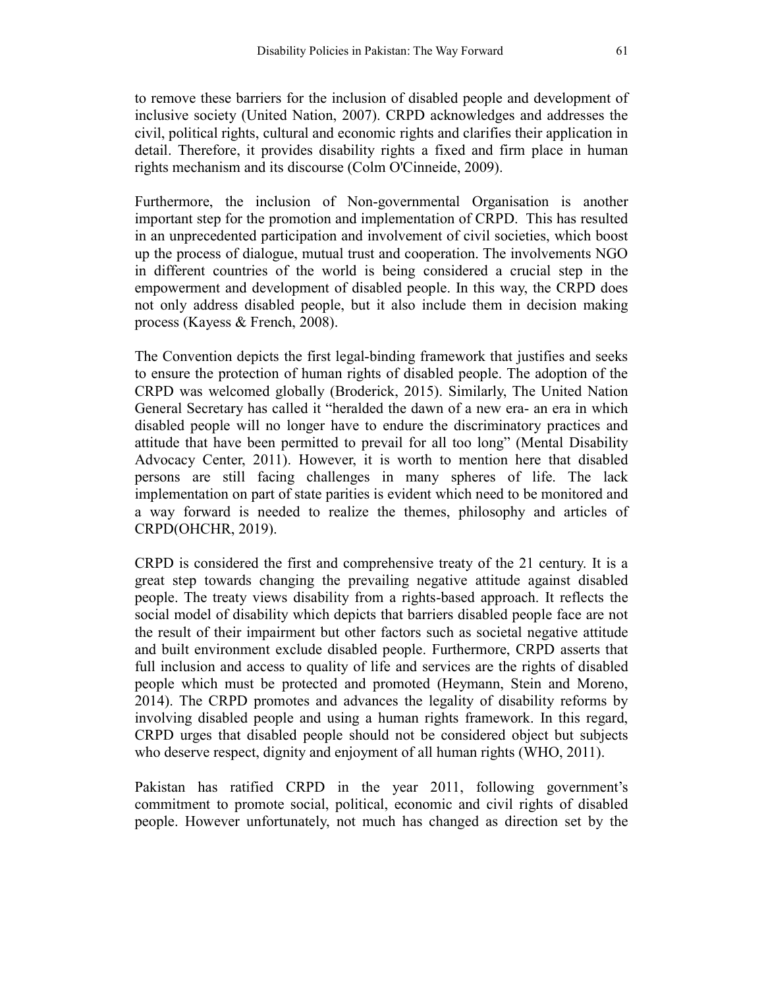to remove these barriers for the inclusion of disabled people and development of inclusive society (United Nation, 2007). CRPD acknowledges and addresses the civil, political rights, cultural and economic rights and clarifies their application in detail. Therefore, it provides disability rights a fixed and firm place in human rights mechanism and its discourse (Colm O'Cinneide, 2009).

Furthermore, the inclusion of Non-governmental Organisation is another important step for the promotion and implementation of CRPD. This has resulted in an unprecedented participation and involvement of civil societies, which boost up the process of dialogue, mutual trust and cooperation. The involvements NGO in different countries of the world is being considered a crucial step in the empowerment and development of disabled people. In this way, the CRPD does not only address disabled people, but it also include them in decision making process (Kayess & French, 2008).

The Convention depicts the first legal-binding framework that justifies and seeks to ensure the protection of human rights of disabled people. The adoption of the CRPD was welcomed globally (Broderick, 2015). Similarly, The United Nation General Secretary has called it "heralded the dawn of a new era- an era in which disabled people will no longer have to endure the discriminatory practices and attitude that have been permitted to prevail for all too long" (Mental Disability Advocacy Center, 2011). However, it is worth to mention here that disabled persons are still facing challenges in many spheres of life. The lack implementation on part of state parities is evident which need to be monitored and a way forward is needed to realize the themes, philosophy and articles of CRPD(OHCHR, 2019).

CRPD is considered the first and comprehensive treaty of the 21 century. It is a great step towards changing the prevailing negative attitude against disabled people. The treaty views disability from a rights-based approach. It reflects the social model of disability which depicts that barriers disabled people face are not the result of their impairment but other factors such as societal negative attitude and built environment exclude disabled people. Furthermore, CRPD asserts that full inclusion and access to quality of life and services are the rights of disabled people which must be protected and promoted (Heymann, Stein and Moreno, 2014). The CRPD promotes and advances the legality of disability reforms by involving disabled people and using a human rights framework. In this regard, CRPD urges that disabled people should not be considered object but subjects who deserve respect, dignity and enjoyment of all human rights (WHO, 2011).

Pakistan has ratified CRPD in the year 2011, following government's commitment to promote social, political, economic and civil rights of disabled people. However unfortunately, not much has changed as direction set by the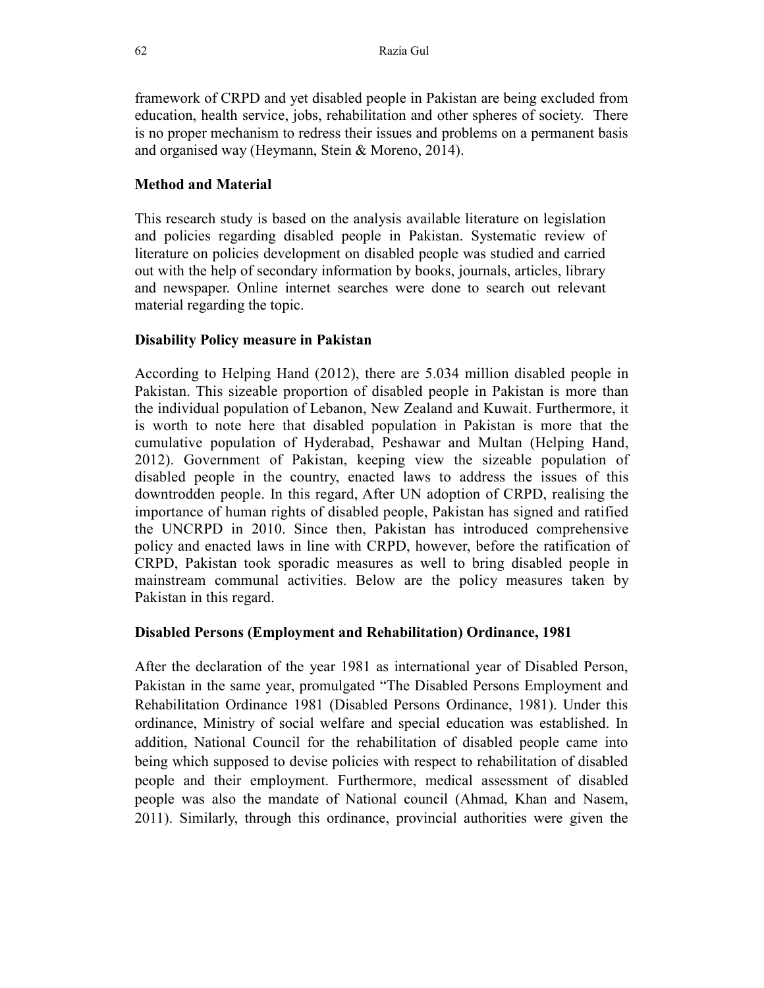framework of CRPD and yet disabled people in Pakistan are being excluded from education, health service, jobs, rehabilitation and other spheres of society. There is no proper mechanism to redress their issues and problems on a permanent basis and organised way (Heymann, Stein & Moreno, 2014).

# Method and Material

This research study is based on the analysis available literature on legislation and policies regarding disabled people in Pakistan. Systematic review of literature on policies development on disabled people was studied and carried out with the help of secondary information by books, journals, articles, library and newspaper. Online internet searches were done to search out relevant material regarding the topic.

# Disability Policy measure in Pakistan

According to Helping Hand (2012), there are 5.034 million disabled people in Pakistan. This sizeable proportion of disabled people in Pakistan is more than the individual population of Lebanon, New Zealand and Kuwait. Furthermore, it is worth to note here that disabled population in Pakistan is more that the cumulative population of Hyderabad, Peshawar and Multan (Helping Hand, 2012). Government of Pakistan, keeping view the sizeable population of disabled people in the country, enacted laws to address the issues of this downtrodden people. In this regard, After UN adoption of CRPD, realising the importance of human rights of disabled people, Pakistan has signed and ratified the UNCRPD in 2010. Since then, Pakistan has introduced comprehensive policy and enacted laws in line with CRPD, however, before the ratification of CRPD, Pakistan took sporadic measures as well to bring disabled people in mainstream communal activities. Below are the policy measures taken by Pakistan in this regard.

# Disabled Persons (Employment and Rehabilitation) Ordinance, 1981

After the declaration of the year 1981 as international year of Disabled Person, Pakistan in the same year, promulgated "The Disabled Persons Employment and Rehabilitation Ordinance 1981 (Disabled Persons Ordinance, 1981). Under this ordinance, Ministry of social welfare and special education was established. In addition, National Council for the rehabilitation of disabled people came into being which supposed to devise policies with respect to rehabilitation of disabled people and their employment. Furthermore, medical assessment of disabled people was also the mandate of National council (Ahmad, Khan and Nasem, 2011). Similarly, through this ordinance, provincial authorities were given the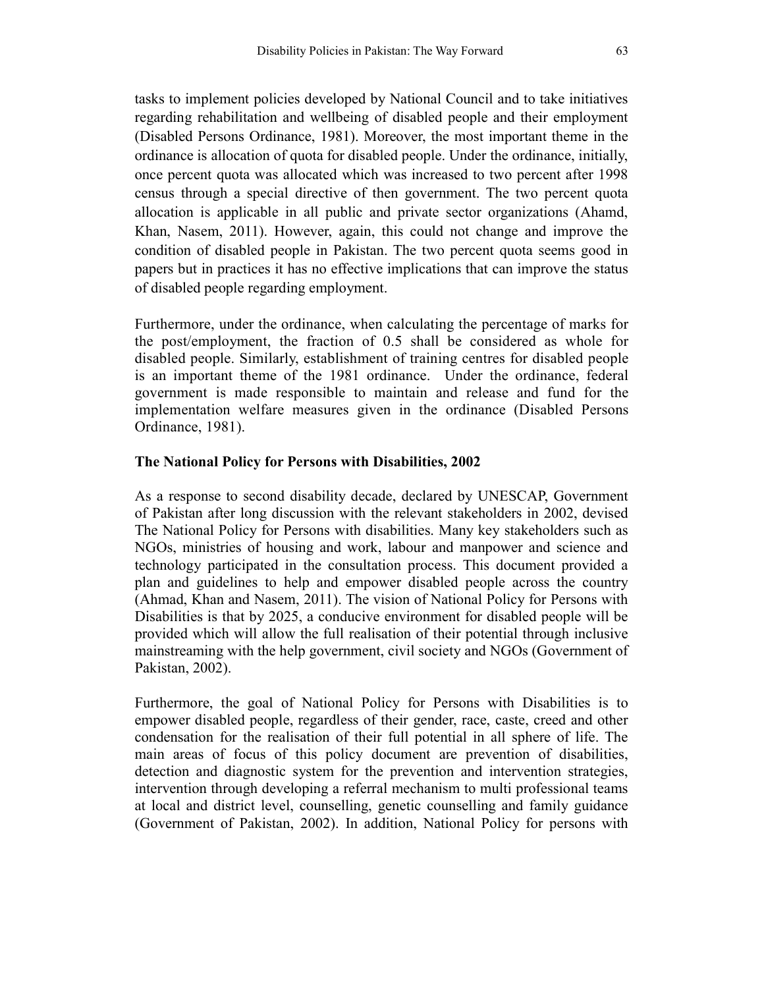tasks to implement policies developed by National Council and to take initiatives regarding rehabilitation and wellbeing of disabled people and their employment (Disabled Persons Ordinance, 1981). Moreover, the most important theme in the ordinance is allocation of quota for disabled people. Under the ordinance, initially, once percent quota was allocated which was increased to two percent after 1998 census through a special directive of then government. The two percent quota allocation is applicable in all public and private sector organizations (Ahamd, Khan, Nasem, 2011). However, again, this could not change and improve the condition of disabled people in Pakistan. The two percent quota seems good in papers but in practices it has no effective implications that can improve the status of disabled people regarding employment.

Furthermore, under the ordinance, when calculating the percentage of marks for the post/employment, the fraction of 0.5 shall be considered as whole for disabled people. Similarly, establishment of training centres for disabled people is an important theme of the 1981 ordinance. Under the ordinance, federal government is made responsible to maintain and release and fund for the implementation welfare measures given in the ordinance (Disabled Persons Ordinance, 1981).

### The National Policy for Persons with Disabilities, 2002

As a response to second disability decade, declared by UNESCAP, Government of Pakistan after long discussion with the relevant stakeholders in 2002, devised The National Policy for Persons with disabilities. Many key stakeholders such as NGOs, ministries of housing and work, labour and manpower and science and technology participated in the consultation process. This document provided a plan and guidelines to help and empower disabled people across the country (Ahmad, Khan and Nasem, 2011). The vision of National Policy for Persons with Disabilities is that by 2025, a conducive environment for disabled people will be provided which will allow the full realisation of their potential through inclusive mainstreaming with the help government, civil society and NGOs (Government of Pakistan, 2002).

Furthermore, the goal of National Policy for Persons with Disabilities is to empower disabled people, regardless of their gender, race, caste, creed and other condensation for the realisation of their full potential in all sphere of life. The main areas of focus of this policy document are prevention of disabilities, detection and diagnostic system for the prevention and intervention strategies, intervention through developing a referral mechanism to multi professional teams at local and district level, counselling, genetic counselling and family guidance (Government of Pakistan, 2002). In addition, National Policy for persons with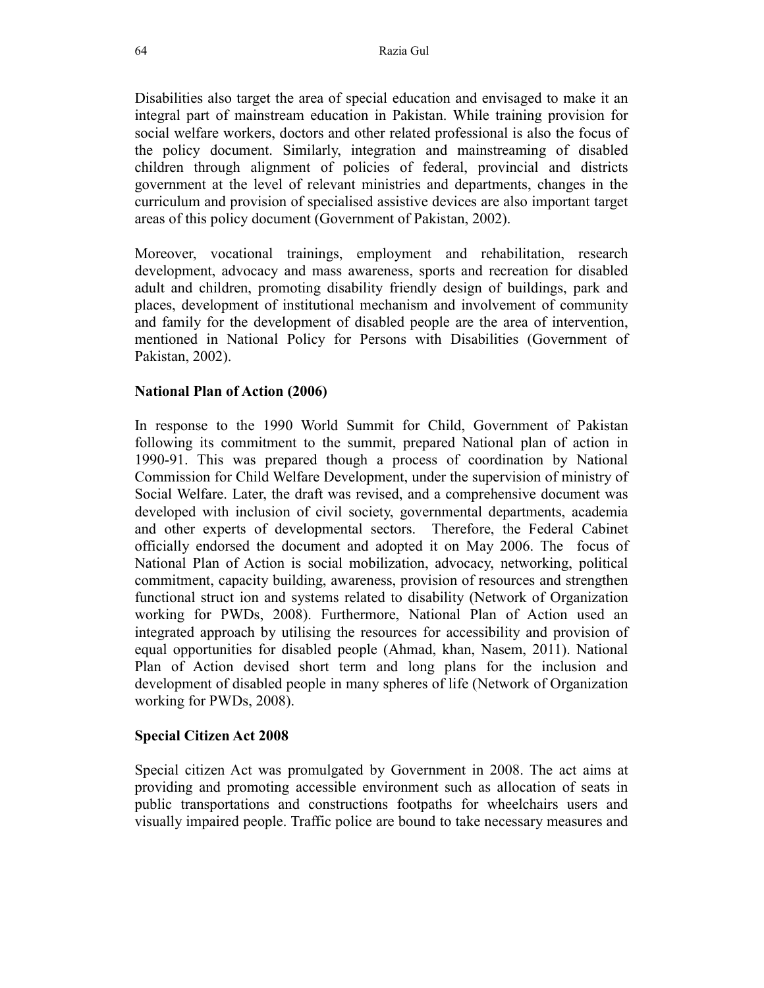Disabilities also target the area of special education and envisaged to make it an integral part of mainstream education in Pakistan. While training provision for social welfare workers, doctors and other related professional is also the focus of the policy document. Similarly, integration and mainstreaming of disabled children through alignment of policies of federal, provincial and districts government at the level of relevant ministries and departments, changes in the curriculum and provision of specialised assistive devices are also important target areas of this policy document (Government of Pakistan, 2002).

Moreover, vocational trainings, employment and rehabilitation, research development, advocacy and mass awareness, sports and recreation for disabled adult and children, promoting disability friendly design of buildings, park and places, development of institutional mechanism and involvement of community and family for the development of disabled people are the area of intervention, mentioned in National Policy for Persons with Disabilities (Government of Pakistan, 2002).

# National Plan of Action (2006)

In response to the 1990 World Summit for Child, Government of Pakistan following its commitment to the summit, prepared National plan of action in 1990-91. This was prepared though a process of coordination by National Commission for Child Welfare Development, under the supervision of ministry of Social Welfare. Later, the draft was revised, and a comprehensive document was developed with inclusion of civil society, governmental departments, academia and other experts of developmental sectors. Therefore, the Federal Cabinet officially endorsed the document and adopted it on May 2006. The focus of National Plan of Action is social mobilization, advocacy, networking, political commitment, capacity building, awareness, provision of resources and strengthen functional struct ion and systems related to disability (Network of Organization working for PWDs, 2008). Furthermore, National Plan of Action used an integrated approach by utilising the resources for accessibility and provision of equal opportunities for disabled people (Ahmad, khan, Nasem, 2011). National Plan of Action devised short term and long plans for the inclusion and development of disabled people in many spheres of life (Network of Organization working for PWDs, 2008).

# Special Citizen Act 2008

Special citizen Act was promulgated by Government in 2008. The act aims at providing and promoting accessible environment such as allocation of seats in public transportations and constructions footpaths for wheelchairs users and visually impaired people. Traffic police are bound to take necessary measures and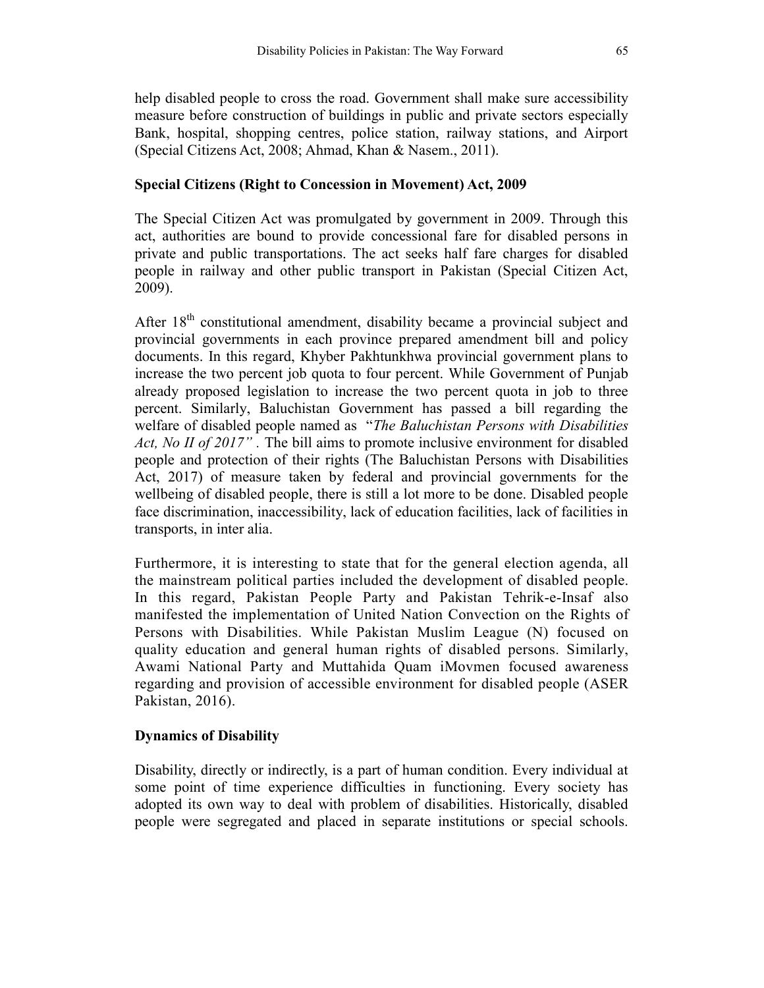help disabled people to cross the road. Government shall make sure accessibility measure before construction of buildings in public and private sectors especially Bank, hospital, shopping centres, police station, railway stations, and Airport (Special Citizens Act, 2008; Ahmad, Khan & Nasem., 2011).

### Special Citizens (Right to Concession in Movement) Act, 2009

The Special Citizen Act was promulgated by government in 2009. Through this act, authorities are bound to provide concessional fare for disabled persons in private and public transportations. The act seeks half fare charges for disabled people in railway and other public transport in Pakistan (Special Citizen Act, 2009).

After  $18<sup>th</sup>$  constitutional amendment, disability became a provincial subject and provincial governments in each province prepared amendment bill and policy documents. In this regard, Khyber Pakhtunkhwa provincial government plans to increase the two percent job quota to four percent. While Government of Punjab already proposed legislation to increase the two percent quota in job to three percent. Similarly, Baluchistan Government has passed a bill regarding the welfare of disabled people named as "The Baluchistan Persons with Disabilities" Act, No II of 2017". The bill aims to promote inclusive environment for disabled people and protection of their rights (The Baluchistan Persons with Disabilities Act, 2017) of measure taken by federal and provincial governments for the wellbeing of disabled people, there is still a lot more to be done. Disabled people face discrimination, inaccessibility, lack of education facilities, lack of facilities in transports, in inter alia.

Furthermore, it is interesting to state that for the general election agenda, all the mainstream political parties included the development of disabled people. In this regard, Pakistan People Party and Pakistan Tehrik-e-Insaf also manifested the implementation of United Nation Convection on the Rights of Persons with Disabilities. While Pakistan Muslim League (N) focused on quality education and general human rights of disabled persons. Similarly, Awami National Party and Muttahida Quam iMovmen focused awareness regarding and provision of accessible environment for disabled people (ASER Pakistan, 2016).

# Dynamics of Disability

Disability, directly or indirectly, is a part of human condition. Every individual at some point of time experience difficulties in functioning. Every society has adopted its own way to deal with problem of disabilities. Historically, disabled people were segregated and placed in separate institutions or special schools.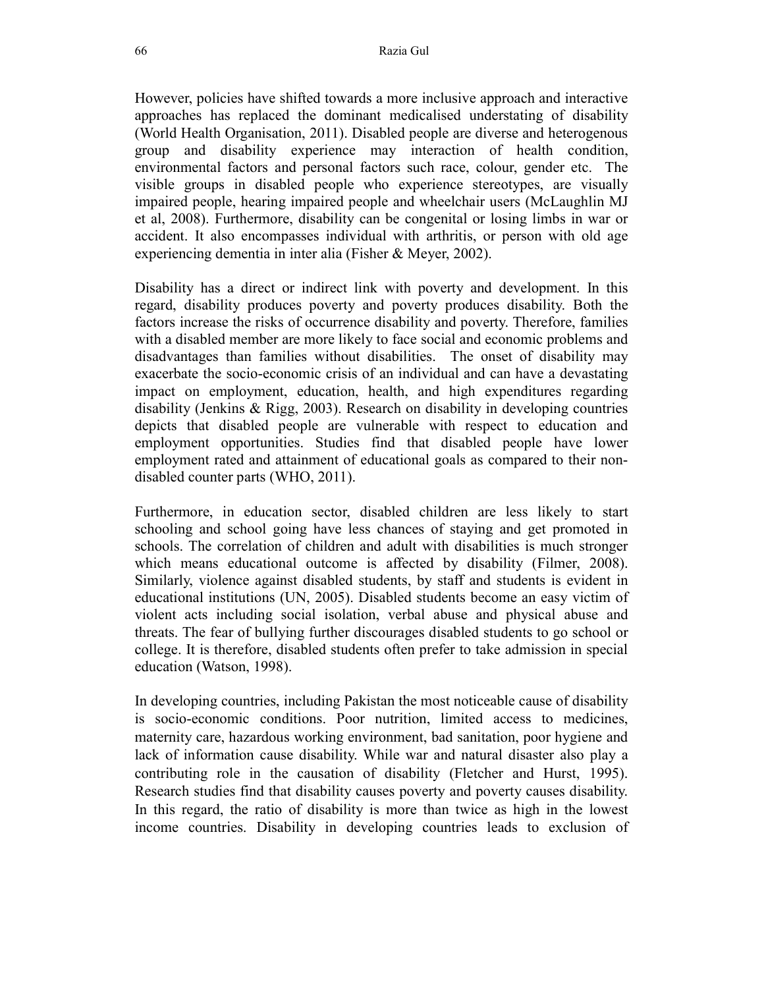However, policies have shifted towards a more inclusive approach and interactive approaches has replaced the dominant medicalised understating of disability (World Health Organisation, 2011). Disabled people are diverse and heterogenous group and disability experience may interaction of health condition, environmental factors and personal factors such race, colour, gender etc. The visible groups in disabled people who experience stereotypes, are visually impaired people, hearing impaired people and wheelchair users (McLaughlin MJ et al, 2008). Furthermore, disability can be congenital or losing limbs in war or accident. It also encompasses individual with arthritis, or person with old age experiencing dementia in inter alia (Fisher & Meyer, 2002).

Disability has a direct or indirect link with poverty and development. In this regard, disability produces poverty and poverty produces disability. Both the factors increase the risks of occurrence disability and poverty. Therefore, families with a disabled member are more likely to face social and economic problems and disadvantages than families without disabilities. The onset of disability may exacerbate the socio-economic crisis of an individual and can have a devastating impact on employment, education, health, and high expenditures regarding disability (Jenkins & Rigg, 2003). Research on disability in developing countries depicts that disabled people are vulnerable with respect to education and employment opportunities. Studies find that disabled people have lower employment rated and attainment of educational goals as compared to their nondisabled counter parts (WHO, 2011).

Furthermore, in education sector, disabled children are less likely to start schooling and school going have less chances of staying and get promoted in schools. The correlation of children and adult with disabilities is much stronger which means educational outcome is affected by disability (Filmer, 2008). Similarly, violence against disabled students, by staff and students is evident in educational institutions (UN, 2005). Disabled students become an easy victim of violent acts including social isolation, verbal abuse and physical abuse and threats. The fear of bullying further discourages disabled students to go school or college. It is therefore, disabled students often prefer to take admission in special education (Watson, 1998).

In developing countries, including Pakistan the most noticeable cause of disability is socio-economic conditions. Poor nutrition, limited access to medicines, maternity care, hazardous working environment, bad sanitation, poor hygiene and lack of information cause disability. While war and natural disaster also play a contributing role in the causation of disability (Fletcher and Hurst, 1995). Research studies find that disability causes poverty and poverty causes disability. In this regard, the ratio of disability is more than twice as high in the lowest income countries. Disability in developing countries leads to exclusion of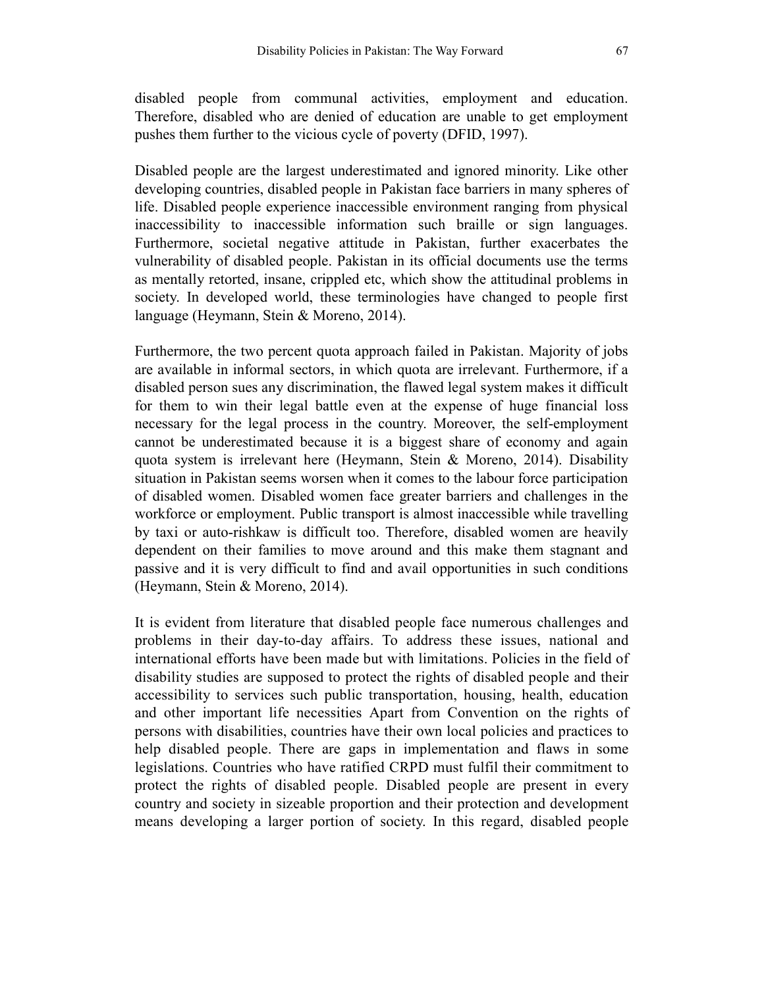disabled people from communal activities, employment and education. Therefore, disabled who are denied of education are unable to get employment pushes them further to the vicious cycle of poverty (DFID, 1997).

Disabled people are the largest underestimated and ignored minority. Like other developing countries, disabled people in Pakistan face barriers in many spheres of life. Disabled people experience inaccessible environment ranging from physical inaccessibility to inaccessible information such braille or sign languages. Furthermore, societal negative attitude in Pakistan, further exacerbates the vulnerability of disabled people. Pakistan in its official documents use the terms as mentally retorted, insane, crippled etc, which show the attitudinal problems in society. In developed world, these terminologies have changed to people first language (Heymann, Stein & Moreno, 2014).

Furthermore, the two percent quota approach failed in Pakistan. Majority of jobs are available in informal sectors, in which quota are irrelevant. Furthermore, if a disabled person sues any discrimination, the flawed legal system makes it difficult for them to win their legal battle even at the expense of huge financial loss necessary for the legal process in the country. Moreover, the self-employment cannot be underestimated because it is a biggest share of economy and again quota system is irrelevant here (Heymann, Stein & Moreno, 2014). Disability situation in Pakistan seems worsen when it comes to the labour force participation of disabled women. Disabled women face greater barriers and challenges in the workforce or employment. Public transport is almost inaccessible while travelling by taxi or auto-rishkaw is difficult too. Therefore, disabled women are heavily dependent on their families to move around and this make them stagnant and passive and it is very difficult to find and avail opportunities in such conditions (Heymann, Stein & Moreno, 2014).

It is evident from literature that disabled people face numerous challenges and problems in their day-to-day affairs. To address these issues, national and international efforts have been made but with limitations. Policies in the field of disability studies are supposed to protect the rights of disabled people and their accessibility to services such public transportation, housing, health, education and other important life necessities Apart from Convention on the rights of persons with disabilities, countries have their own local policies and practices to help disabled people. There are gaps in implementation and flaws in some legislations. Countries who have ratified CRPD must fulfil their commitment to protect the rights of disabled people. Disabled people are present in every country and society in sizeable proportion and their protection and development means developing a larger portion of society. In this regard, disabled people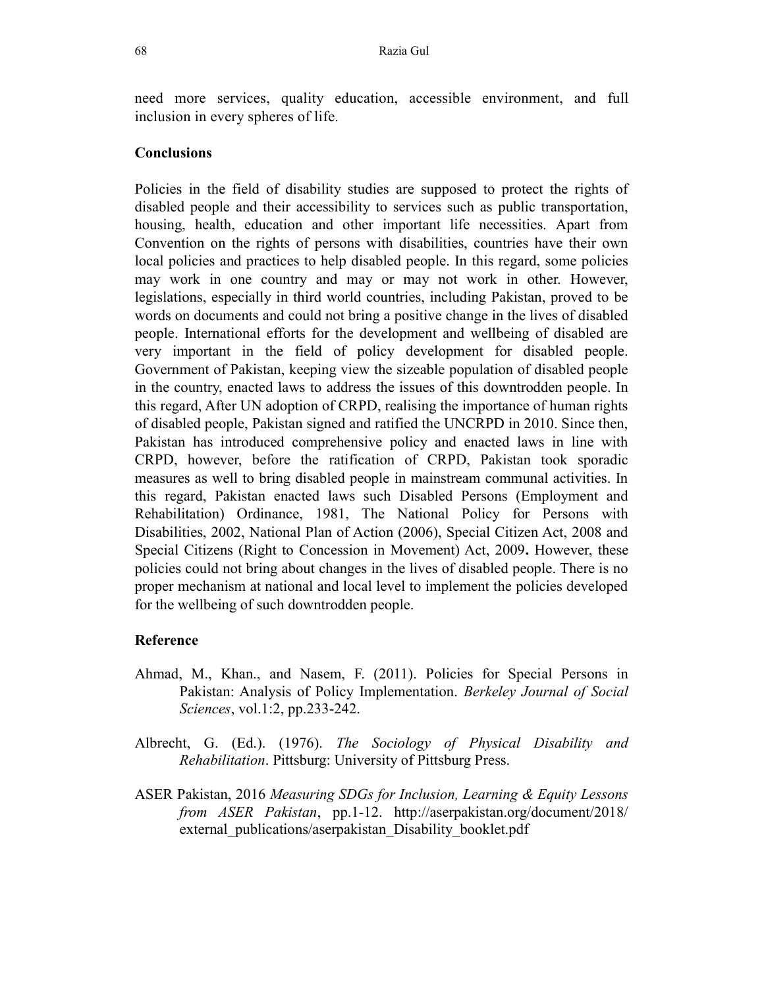need more services, quality education, accessible environment, and full inclusion in every spheres of life.

### **Conclusions**

Policies in the field of disability studies are supposed to protect the rights of disabled people and their accessibility to services such as public transportation, housing, health, education and other important life necessities. Apart from Convention on the rights of persons with disabilities, countries have their own local policies and practices to help disabled people. In this regard, some policies may work in one country and may or may not work in other. However, legislations, especially in third world countries, including Pakistan, proved to be words on documents and could not bring a positive change in the lives of disabled people. International efforts for the development and wellbeing of disabled are very important in the field of policy development for disabled people. Government of Pakistan, keeping view the sizeable population of disabled people in the country, enacted laws to address the issues of this downtrodden people. In this regard, After UN adoption of CRPD, realising the importance of human rights of disabled people, Pakistan signed and ratified the UNCRPD in 2010. Since then, Pakistan has introduced comprehensive policy and enacted laws in line with CRPD, however, before the ratification of CRPD, Pakistan took sporadic measures as well to bring disabled people in mainstream communal activities. In this regard, Pakistan enacted laws such Disabled Persons (Employment and Rehabilitation) Ordinance, 1981, The National Policy for Persons with Disabilities, 2002, National Plan of Action (2006), Special Citizen Act, 2008 and Special Citizens (Right to Concession in Movement) Act, 2009. However, these policies could not bring about changes in the lives of disabled people. There is no proper mechanism at national and local level to implement the policies developed for the wellbeing of such downtrodden people.

#### Reference

- Ahmad, M., Khan., and Nasem, F. (2011). Policies for Special Persons in Pakistan: Analysis of Policy Implementation. Berkeley Journal of Social Sciences, vol.1:2, pp.233-242.
- Albrecht, G. (Ed.). (1976). The Sociology of Physical Disability and Rehabilitation. Pittsburg: University of Pittsburg Press.
- ASER Pakistan, 2016 Measuring SDGs for Inclusion, Learning & Equity Lessons from ASER Pakistan, pp.1-12. http://aserpakistan.org/document/2018/ external\_publications/aserpakistan\_Disability\_booklet.pdf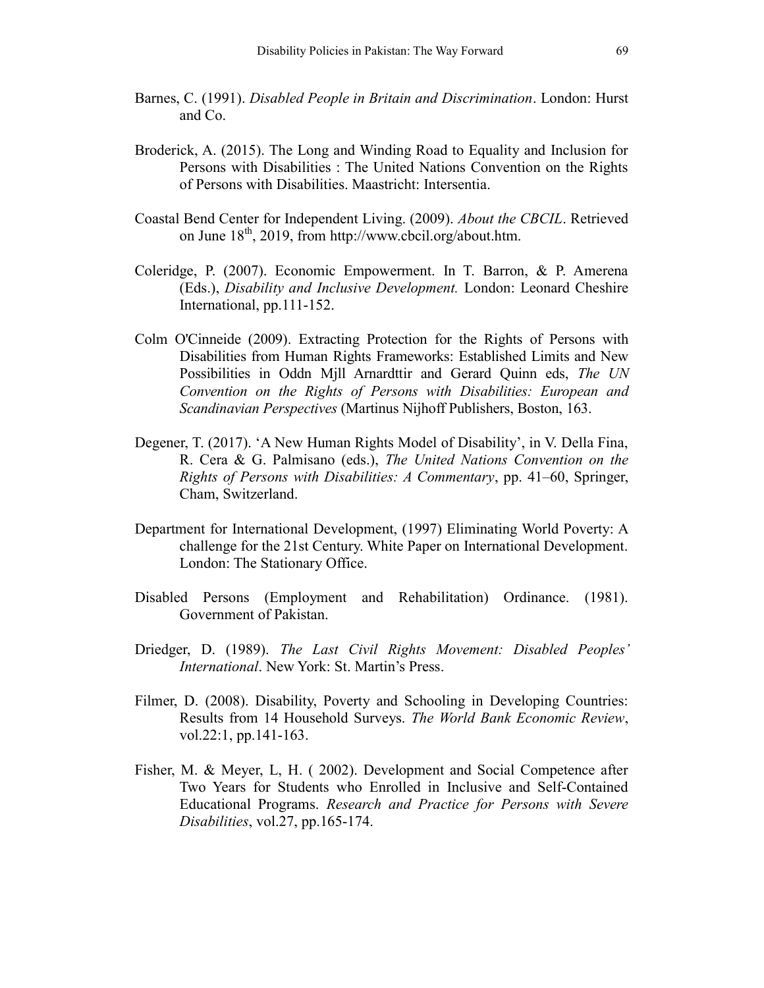- Barnes, C. (1991). Disabled People in Britain and Discrimination. London: Hurst and Co.
- Broderick, A. (2015). The Long and Winding Road to Equality and Inclusion for Persons with Disabilities : The United Nations Convention on the Rights of Persons with Disabilities. Maastricht: Intersentia.
- Coastal Bend Center for Independent Living. (2009). About the CBCIL. Retrieved on June 18th, 2019, from http://www.cbcil.org/about.htm.
- Coleridge, P. (2007). Economic Empowerment. In T. Barron, & P. Amerena (Eds.), Disability and Inclusive Development. London: Leonard Cheshire International, pp.111-152.
- Colm O'Cinneide (2009). Extracting Protection for the Rights of Persons with Disabilities from Human Rights Frameworks: Established Limits and New Possibilities in Oddn Mjll Arnardttir and Gerard Quinn eds, The UN Convention on the Rights of Persons with Disabilities: European and Scandinavian Perspectives (Martinus Nijhoff Publishers, Boston, 163.
- Degener, T. (2017). 'A New Human Rights Model of Disability', in V. Della Fina, R. Cera & G. Palmisano (eds.), The United Nations Convention on the Rights of Persons with Disabilities: A Commentary, pp. 41–60, Springer, Cham, Switzerland.
- Department for International Development, (1997) Eliminating World Poverty: A challenge for the 21st Century. White Paper on International Development. London: The Stationary Office.
- Disabled Persons (Employment and Rehabilitation) Ordinance. (1981). Government of Pakistan.
- Driedger, D. (1989). The Last Civil Rights Movement: Disabled Peoples' International. New York: St. Martin's Press.
- Filmer, D. (2008). Disability, Poverty and Schooling in Developing Countries: Results from 14 Household Surveys. The World Bank Economic Review, vol.22:1, pp.141-163.
- Fisher, M. & Meyer, L, H. ( 2002). Development and Social Competence after Two Years for Students who Enrolled in Inclusive and Self-Contained Educational Programs. Research and Practice for Persons with Severe Disabilities, vol.27, pp.165-174.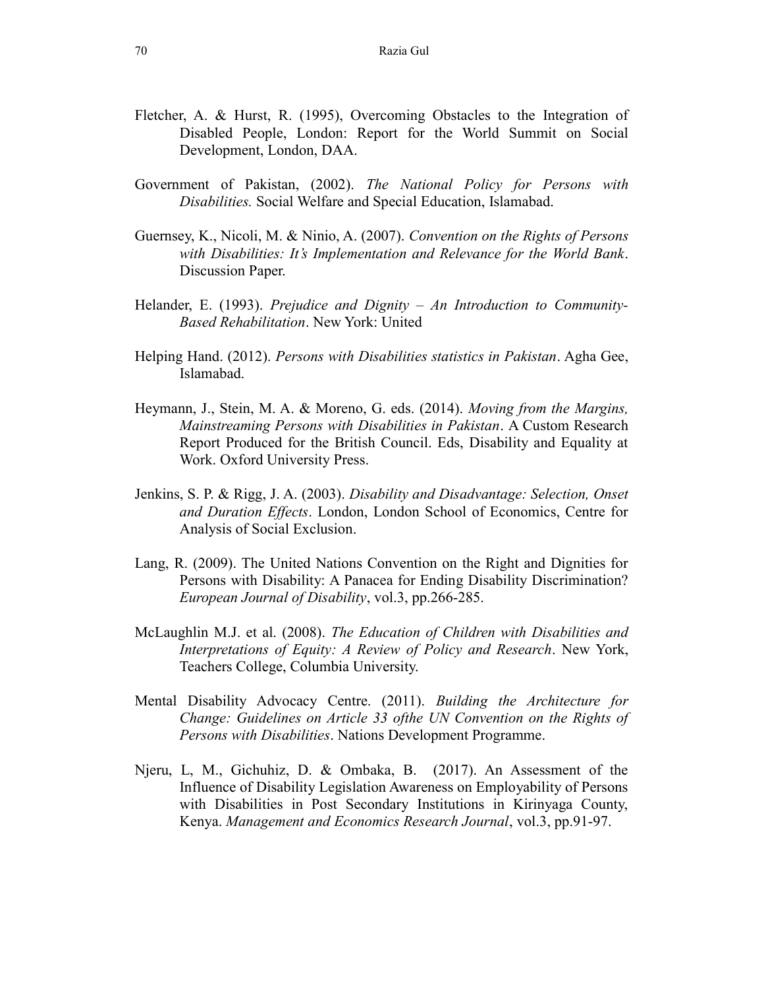- Fletcher, A. & Hurst, R. (1995), Overcoming Obstacles to the Integration of Disabled People, London: Report for the World Summit on Social Development, London, DAA.
- Government of Pakistan, (2002). The National Policy for Persons with Disabilities. Social Welfare and Special Education, Islamabad.
- Guernsey, K., Nicoli, M. & Ninio, A. (2007). Convention on the Rights of Persons with Disabilities: It's Implementation and Relevance for the World Bank. Discussion Paper.
- Helander, E. (1993). Prejudice and Dignity An Introduction to Community-Based Rehabilitation. New York: United
- Helping Hand. (2012). Persons with Disabilities statistics in Pakistan. Agha Gee, Islamabad.
- Heymann, J., Stein, M. A. & Moreno, G. eds. (2014). Moving from the Margins, Mainstreaming Persons with Disabilities in Pakistan. A Custom Research Report Produced for the British Council. Eds, Disability and Equality at Work. Oxford University Press.
- Jenkins, S. P. & Rigg, J. A. (2003). Disability and Disadvantage: Selection, Onset and Duration Effects. London, London School of Economics, Centre for Analysis of Social Exclusion.
- Lang, R. (2009). The United Nations Convention on the Right and Dignities for Persons with Disability: A Panacea for Ending Disability Discrimination? European Journal of Disability, vol.3, pp.266-285.
- McLaughlin M.J. et al. (2008). The Education of Children with Disabilities and Interpretations of Equity: A Review of Policy and Research. New York, Teachers College, Columbia University.
- Mental Disability Advocacy Centre. (2011). Building the Architecture for Change: Guidelines on Article 33 ofthe UN Convention on the Rights of Persons with Disabilities. Nations Development Programme.
- Njeru, L, M., Gichuhiz, D. & Ombaka, B. (2017). An Assessment of the Influence of Disability Legislation Awareness on Employability of Persons with Disabilities in Post Secondary Institutions in Kirinyaga County, Kenya. Management and Economics Research Journal, vol.3, pp.91-97.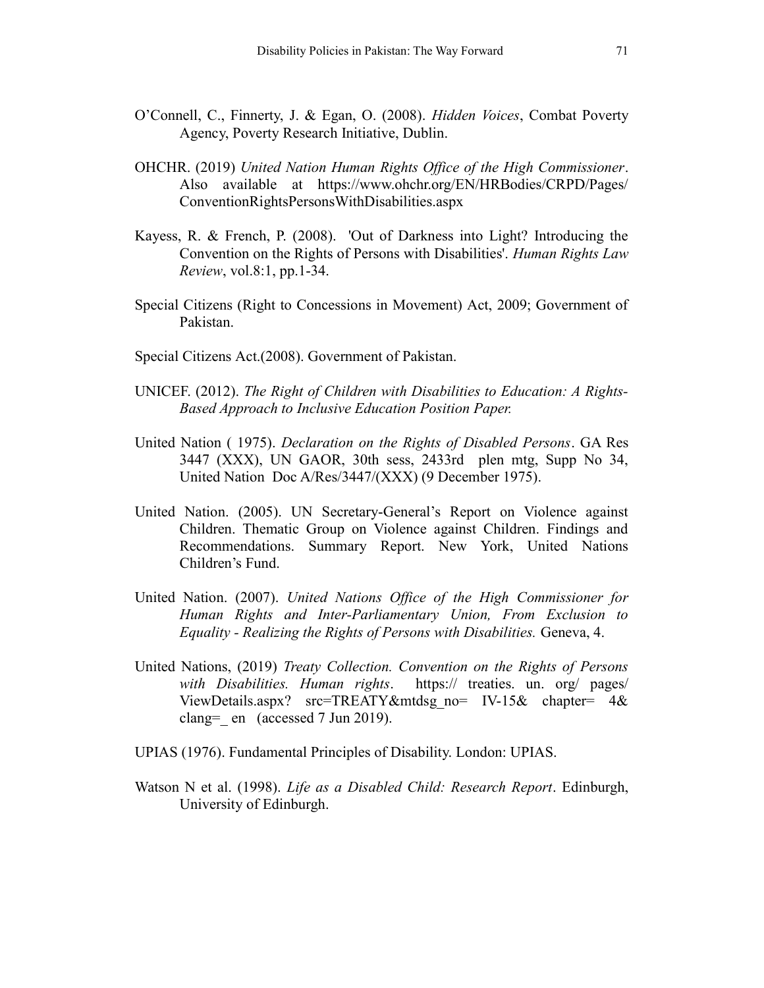- O'Connell, C., Finnerty, J. & Egan, O. (2008). Hidden Voices, Combat Poverty Agency, Poverty Research Initiative, Dublin.
- OHCHR. (2019) United Nation Human Rights Office of the High Commissioner. Also available at https://www.ohchr.org/EN/HRBodies/CRPD/Pages/ ConventionRightsPersonsWithDisabilities.aspx
- Kayess, R. & French, P. (2008). 'Out of Darkness into Light? Introducing the Convention on the Rights of Persons with Disabilities'. Human Rights Law Review, vol.8:1, pp.1-34.
- Special Citizens (Right to Concessions in Movement) Act, 2009; Government of Pakistan.
- Special Citizens Act.(2008). Government of Pakistan.
- UNICEF. (2012). The Right of Children with Disabilities to Education: A Rights-Based Approach to Inclusive Education Position Paper.
- United Nation ( 1975). Declaration on the Rights of Disabled Persons. GA Res 3447 (XXX), UN GAOR, 30th sess, 2433rd plen mtg, Supp No 34, United Nation Doc A/Res/3447/(XXX) (9 December 1975).
- United Nation. (2005). UN Secretary-General's Report on Violence against Children. Thematic Group on Violence against Children. Findings and Recommendations. Summary Report. New York, United Nations Children's Fund.
- United Nation. (2007). United Nations Office of the High Commissioner for Human Rights and Inter-Parliamentary Union, From Exclusion to Equality - Realizing the Rights of Persons with Disabilities. Geneva, 4.
- United Nations, (2019) Treaty Collection. Convention on the Rights of Persons with Disabilities. Human rights. https:// treaties. un. org/ pages/ ViewDetails.aspx? src=TREATY&mtdsg\_no= IV-15& chapter= 4& clang= en (accessed 7 Jun 2019).
- UPIAS (1976). Fundamental Principles of Disability. London: UPIAS.
- Watson N et al. (1998). *Life as a Disabled Child: Research Report*. Edinburgh, University of Edinburgh.